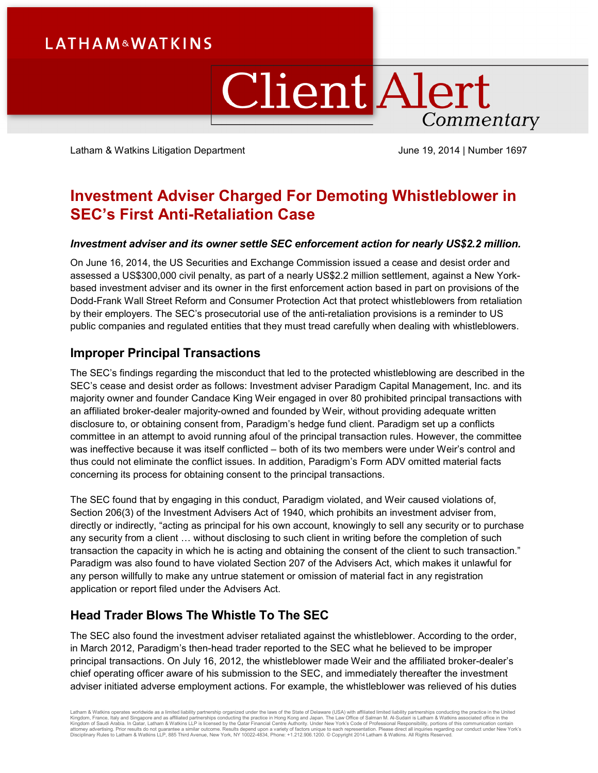# **LATHAM&WATKINS**

# **Client Alert** Commentary

Latham & Watkins Litigation Department Vulle 19, 2014 | Number 1697

## **Investment Adviser Charged For Demoting Whistleblower in SEC's First Anti-Retaliation Case**

## *Investment adviser and its owner settle SEC enforcement action for nearly US\$2.2 million.*

On June 16, 2014, the US Securities and Exchange Commission issued a cease and desist order and assessed a US\$300,000 civil penalty, as part of a nearly US\$2.2 million settlement, against a New Yorkbased investment adviser and its owner in the first enforcement action based in part on provisions of the Dodd-Frank Wall Street Reform and Consumer Protection Act that protect whistleblowers from retaliation by their employers. The SEC's prosecutorial use of the anti-retaliation provisions is a reminder to US public companies and regulated entities that they must tread carefully when dealing with whistleblowers.

## **Improper Principal Transactions**

The SEC's findings regarding the misconduct that led to the protected whistleblowing are described in the SEC's cease and desist order as follows: Investment adviser Paradigm Capital Management, Inc. and its majority owner and founder Candace King Weir engaged in over 80 prohibited principal transactions with an affiliated broker-dealer majority-owned and founded by Weir, without providing adequate written disclosure to, or obtaining consent from, Paradigm's hedge fund client. Paradigm set up a conflicts committee in an attempt to avoid running afoul of the principal transaction rules. However, the committee was ineffective because it was itself conflicted – both of its two members were under Weir's control and thus could not eliminate the conflict issues. In addition, Paradigm's Form ADV omitted material facts concerning its process for obtaining consent to the principal transactions.

The SEC found that by engaging in this conduct, Paradigm violated, and Weir caused violations of, Section 206(3) of the Investment Advisers Act of 1940, which prohibits an investment adviser from, directly or indirectly, "acting as principal for his own account, knowingly to sell any security or to purchase any security from a client … without disclosing to such client in writing before the completion of such transaction the capacity in which he is acting and obtaining the consent of the client to such transaction." Paradigm was also found to have violated Section 207 of the Advisers Act, which makes it unlawful for any person willfully to make any untrue statement or omission of material fact in any registration application or report filed under the Advisers Act.

## **Head Trader Blows The Whistle To The SEC**

The SEC also found the investment adviser retaliated against the whistleblower. According to the order, in March 2012, Paradigm's then-head trader reported to the SEC what he believed to be improper principal transactions. On July 16, 2012, the whistleblower made Weir and the affiliated broker-dealer's chief operating officer aware of his submission to the SEC, and immediately thereafter the investment adviser initiated adverse employment actions. For example, the whistleblower was relieved of his duties

Latham & Watkins operates worldwide as a limited liability partnership organized under the laws of the State of Delaware (USA) with affiliated pirmited liability partnershipsins conducting the practice in Hong Kong and Jap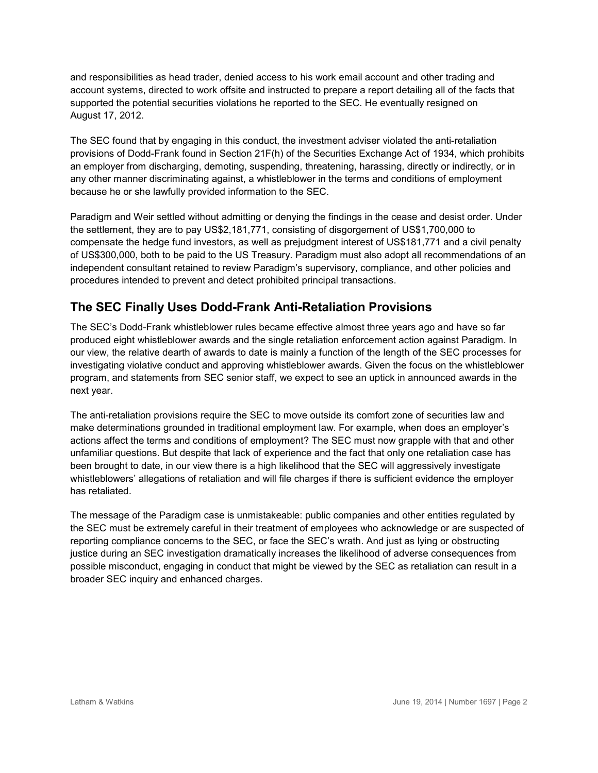and responsibilities as head trader, denied access to his work email account and other trading and account systems, directed to work offsite and instructed to prepare a report detailing all of the facts that supported the potential securities violations he reported to the SEC. He eventually resigned on August 17, 2012.

The SEC found that by engaging in this conduct, the investment adviser violated the anti-retaliation provisions of Dodd-Frank found in Section 21F(h) of the Securities Exchange Act of 1934, which prohibits an employer from discharging, demoting, suspending, threatening, harassing, directly or indirectly, or in any other manner discriminating against, a whistleblower in the terms and conditions of employment because he or she lawfully provided information to the SEC.

Paradigm and Weir settled without admitting or denying the findings in the cease and desist order. Under the settlement, they are to pay US\$2,181,771, consisting of disgorgement of US\$1,700,000 to compensate the hedge fund investors, as well as prejudgment interest of US\$181,771 and a civil penalty of US\$300,000, both to be paid to the US Treasury. Paradigm must also adopt all recommendations of an independent consultant retained to review Paradigm's supervisory, compliance, and other policies and procedures intended to prevent and detect prohibited principal transactions.

## **The SEC Finally Uses Dodd-Frank Anti-Retaliation Provisions**

The SEC's Dodd-Frank whistleblower rules became effective almost three years ago and have so far produced eight whistleblower awards and the single retaliation enforcement action against Paradigm. In our view, the relative dearth of awards to date is mainly a function of the length of the SEC processes for investigating violative conduct and approving whistleblower awards. Given the focus on the whistleblower program, and statements from SEC senior staff, we expect to see an uptick in announced awards in the next year.

The anti-retaliation provisions require the SEC to move outside its comfort zone of securities law and make determinations grounded in traditional employment law. For example, when does an employer's actions affect the terms and conditions of employment? The SEC must now grapple with that and other unfamiliar questions. But despite that lack of experience and the fact that only one retaliation case has been brought to date, in our view there is a high likelihood that the SEC will aggressively investigate whistleblowers' allegations of retaliation and will file charges if there is sufficient evidence the employer has retaliated.

The message of the Paradigm case is unmistakeable: public companies and other entities regulated by the SEC must be extremely careful in their treatment of employees who acknowledge or are suspected of reporting compliance concerns to the SEC, or face the SEC's wrath. And just as lying or obstructing justice during an SEC investigation dramatically increases the likelihood of adverse consequences from possible misconduct, engaging in conduct that might be viewed by the SEC as retaliation can result in a broader SEC inquiry and enhanced charges.